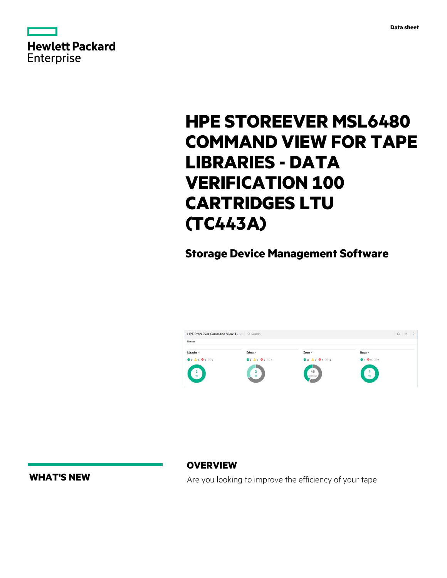

|                   | <b>Hewlett Packard</b> |
|-------------------|------------------------|
| <b>Enterprise</b> |                        |

# **HPE STOREEVER MSL6480 COMMAND VIEW FOR TAPE LIBRARIES - DATA VERIFICATION 100 CARTRIDGES LTU (TC443A)**

**Storage Device Management Software**



**WHAT'S NEW**

**OVERVIEW**

Are you looking to improve the efficiency of your tape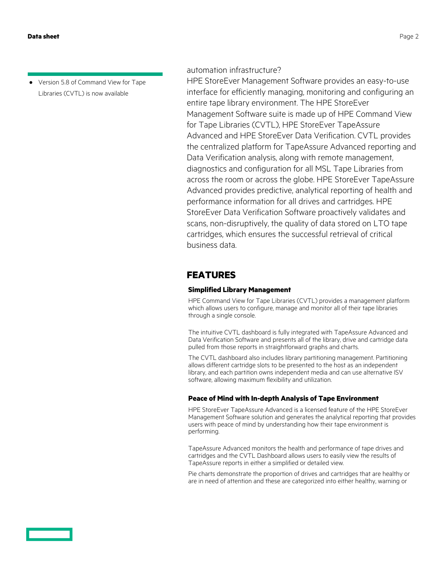**·** Version 5.8 of Command View for Tape Libraries (CVTL) is now available

automation infrastructure?

HPE StoreEver Management Software provides an easy-to-use interface for efficiently managing, monitoring and configuring an entire tape library environment. The HPE StoreEver Management Software suite is made up of HPE Command View for Tape Libraries (CVTL), HPE StoreEver TapeAssure Advanced and HPE StoreEver Data Verification. CVTL provides the centralized platform for TapeAssure Advanced reporting and Data Verification analysis, along with remote management, diagnostics and configuration for all MSL Tape Libraries from across the room or across the globe. HPE StoreEver TapeAssure Advanced provides predictive, analytical reporting of health and performance information for all drives and cartridges. HPE StoreEver Data Verification Software proactively validates and scans, non-disruptively, the quality of data stored on LTO tape cartridges, which ensures the successful retrieval of critical business data.

# **FEATURES**

### **Simplified Library Management**

HPE Command View for Tape Libraries (CVTL) provides a management platform which allows users to configure, manage and monitor all of their tape libraries through a single console.

The intuitive CVTL dashboard is fully integrated with TapeAssure Advanced and Data Verification Software and presents all of the library, drive and cartridge data pulled from those reports in straightforward graphs and charts.

The CVTL dashboard also includes library partitioning management. Partitioning allows different cartridge slots to be presented to the host as an independent library, and each partition owns independent media and can use alternative ISV software, allowing maximum flexibility and utilization.

### **Peace of Mind with In-depth Analysis of Tape Environment**

HPE StoreEver TapeAssure Advanced is a licensed feature of the HPE StoreEver Management Software solution and generates the analytical reporting that provides users with peace of mind by understanding how their tape environment is performing.

TapeAssure Advanced monitors the health and performance of tape drives and cartridges and the CVTL Dashboard allows users to easily view the results of TapeAssure reports in either a simplified or detailed view.

Pie charts demonstrate the proportion of drives and cartridges that are healthy or are in need of attention and these are categorized into either healthy, warning or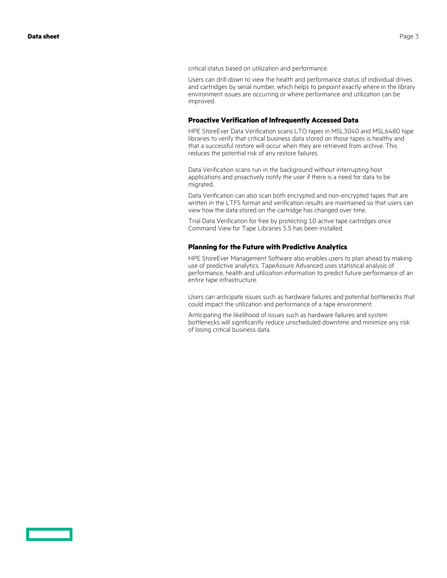critical status based on utilization and performance.

Users can drill down to view the health and performance status of individual drives and cartridges by serial number, which helps to pinpoint exactly where in the library environment issues are occurring or where performance and utilization can be improved.

### **Proactive Verification of Infrequently Accessed Data**

HPE StoreEver Data Verification scans LTO tapes in MSL3040 and MSL6480 tape libraries to verify that critical business data stored on those tapes is healthy and that a successful restore will occur when they are retrieved from archive. This reduces the potential risk of any restore failures.

Data Verification scans run in the background without interrupting host applications and proactively notify the user if there is a need for data to be migrated.

Data Verification can also scan both encrypted and non-encrypted tapes that are written in the LTFS format and verification results are maintained so that users can view how the data stored on the cartridge has changed over time.

Trial Data Verification for free by protecting 10 active tape cartridges once Command View for Tape Libraries 5.5 has been installed.

### **Planning for the Future with Predictive Analytics**

HPE StoreEver Management Software also enables users to plan ahead by making use of predictive analytics. TapeAssure Advanced uses statistical analysis of performance, health and utilization information to predict future performance of an entire tape infrastructure.

Users can anticipate issues such as hardware failures and potential bottlenecks that could impact the utilization and performance of a tape environment.

Anticipating the likelihood of issues such as hardware failures and system bottlenecks will significantly reduce unscheduled downtime and minimize any risk of losing critical business data.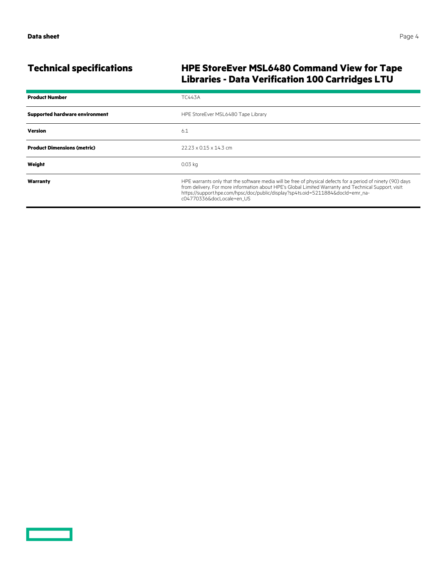# **Technical specifications HPE StoreEver MSL6480 Command View for Tape Libraries - Data Verification 100 Cartridges LTU**

| <b>Product Number</b>                 | <b>TC443A</b>                                                                                                                                                                                                                                                                                                                        |
|---------------------------------------|--------------------------------------------------------------------------------------------------------------------------------------------------------------------------------------------------------------------------------------------------------------------------------------------------------------------------------------|
| <b>Supported hardware environment</b> | HPE StoreEver MSL6480 Tape Library                                                                                                                                                                                                                                                                                                   |
| <b>Version</b>                        | 6.1                                                                                                                                                                                                                                                                                                                                  |
| <b>Product Dimensions (metric)</b>    | $22.23 \times 0.15 \times 14.3$ cm                                                                                                                                                                                                                                                                                                   |
| Weight                                | $0.03$ kg                                                                                                                                                                                                                                                                                                                            |
| Warranty                              | HPE warrants only that the software media will be free of physical defects for a period of ninety (90) days<br>from delivery. For more information about HPE's Global Limited Warranty and Technical Support, visit:<br>https://support.hpe.com/hpsc/doc/public/display?sp4ts.oid=5211884&docId=emr na-<br>c04770336&docLocale=en US |